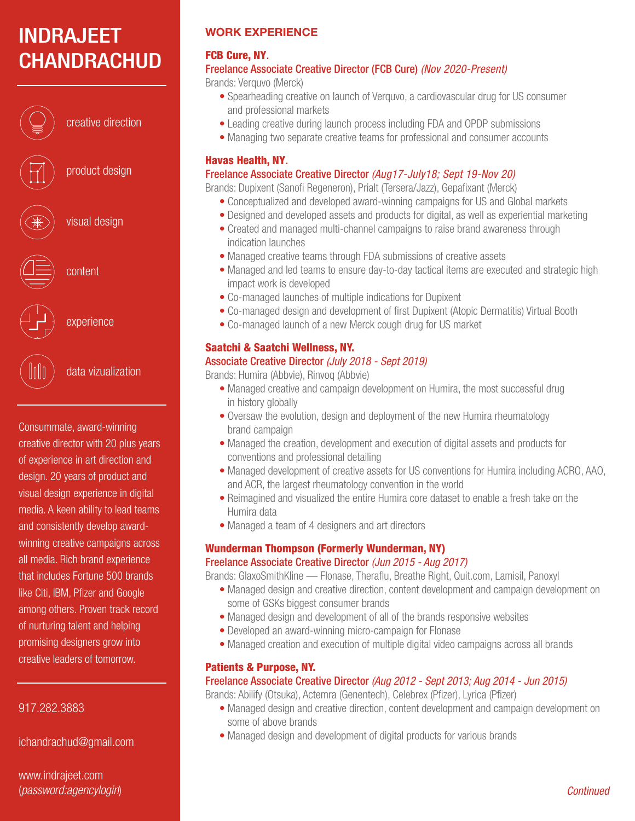# INDRAJEET **CHANDRACHUD**



creative direction

product design

visual design

experience

data vizualization

Consummate, award-winning creative director with 20 plus years of experience in art direction and design. 20 years of product and visual design experience in digital media. A keen ability to lead teams and consistently develop awardwinning creative campaigns across all media. Rich brand experience that includes Fortune 500 brands like Citi, IBM, Pfizer and Google among others. Proven track record of nurturing talent and helping promising designers grow into creative leaders of tomorrow.

## 917.282.3883

ichandrachud@gmail.com

www.indrajeet.com (password:agencylogin)

## WORK EXPERIENCE

#### FCB Cure, NY. Freelance Associate Creative Director (FCB Cure) (Nov 2020-Present)

Brands: Verguvo (Merck)

- Spearheading creative on launch of Verquvo, a cardiovascular drug for US consumer and professional markets
- Leading creative during launch process including FDA and OPDP submissions
- Managing two separate creative teams for professional and consumer accounts

## Havas Health, NY.

## Freelance Associate Creative Director (Aug17-July18; Sept 19-Nov 20)

Brands: Dupixent (Sanofi Regeneron), Prialt (Tersera/Jazz), Gepafixant (Merck)

- Conceptualized and developed award-winning campaigns for US and Global markets
- Designed and developed assets and products for digital, as well as experiential marketing
- Created and managed multi-channel campaigns to raise brand awareness through indication launches
- Managed creative teams through FDA submissions of creative assets
- Managed and led teams to ensure day-to-day tactical items are executed and strategic high impact work is developed
- Co-managed launches of multiple indications for Dupixent
- Co-managed design and development of first Dupixent (Atopic Dermatitis) Virtual Booth
- Co-managed launch of a new Merck cough drug for US market

## Saatchi & Saatchi Wellness, NY.

## Associate Creative Director (July 2018 - Sept 2019)

Brands: Humira (Abbvie), Rinvoq (Abbvie)

- Managed creative and campaign development on Humira, the most successful drug in history globally
- Oversaw the evolution, design and deployment of the new Humira rheumatology brand campaign
- Managed the creation, development and execution of digital assets and products for conventions and professional detailing
- Managed development of creative assets for US conventions for Humira including ACRO, AAO, and ACR, the largest rheumatology convention in the world
- Reimagined and visualized the entire Humira core dataset to enable a fresh take on the Humira data
- Managed a team of 4 designers and art directors

## Wunderman Thompson (Formerly Wunderman, NY)

#### Freelance Associate Creative Director (Jun 2015 - Aug 2017)

Brands: GlaxoSmithKline — Flonase, Theraflu, Breathe Right, Quit.com, Lamisil, Panoxyl

- Managed design and creative direction, content development and campaign development on some of GSKs biggest consumer brands
- Managed design and development of all of the brands responsive websites
- Developed an award-winning micro-campaign for Flonase
- Managed creation and execution of multiple digital video campaigns across all brands

## Patients & Purpose, NY.

## Freelance Associate Creative Director (Aug 2012 - Sept 2013; Aug 2014 - Jun 2015)

Brands: Abilify (Otsuka), Actemra (Genentech), Celebrex (Pfizer), Lyrica (Pfizer)

- Managed design and creative direction, content development and campaign development on some of above brands
- Managed design and development of digital products for various brands